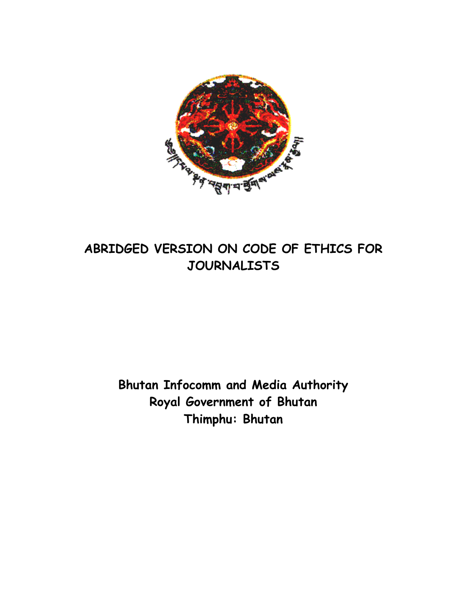

# **ABRIDGED VERSION ON CODE OF ETHICS FOR JOURNALISTS**

**Bhutan Infocomm and Media Authority Royal Government of Bhutan Thimphu: Bhutan**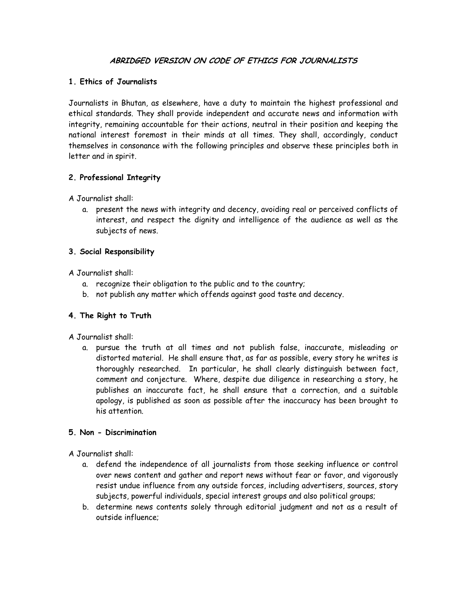# **ABRIDGED VERSION ON CODE OF ETHICS FOR JOURNALISTS**

# **1. Ethics of Journalists**

Journalists in Bhutan, as elsewhere, have a duty to maintain the highest professional and ethical standards. They shall provide independent and accurate news and information with integrity, remaining accountable for their actions, neutral in their position and keeping the national interest foremost in their minds at all times. They shall, accordingly, conduct themselves in consonance with the following principles and observe these principles both in letter and in spirit.

# **2. Professional Integrity**

A Journalist shall:

a. present the news with integrity and decency, avoiding real or perceived conflicts of interest, and respect the dignity and intelligence of the audience as well as the subjects of news.

## **3. Social Responsibility**

A Journalist shall:

- a. recognize their obligation to the public and to the country;
- b. not publish any matter which offends against good taste and decency.

#### **4. The Right to Truth**

A Journalist shall:

a. pursue the truth at all times and not publish false, inaccurate, misleading or distorted material. He shall ensure that, as far as possible, every story he writes is thoroughly researched. In particular, he shall clearly distinguish between fact, comment and conjecture. Where, despite due diligence in researching a story, he publishes an inaccurate fact, he shall ensure that a correction, and a suitable apology, is published as soon as possible after the inaccuracy has been brought to his attention.

### **5. Non - Discrimination**

A Journalist shall:

- a. defend the independence of all journalists from those seeking influence or control over news content and gather and report news without fear or favor, and vigorously resist undue influence from any outside forces, including advertisers, sources, story subjects, powerful individuals, special interest groups and also political groups;
- b. determine news contents solely through editorial judgment and not as a result of outside influence;